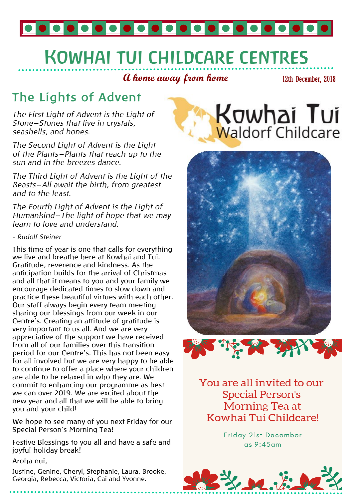

# **KOWHAI TUI CHILDCARE CENTRES**

**A home away from home**

12th December, 2018

### **The Lights of Advent**

*The First Light of Advent is the Light of Stone—Stones that live in crystals, seashells, and bones.* 

*The Second Light of Advent is the Light of the Plants—Plants that reach up to the sun and in the breezes dance.* 

*The Third Light of Advent is the Light of the Beasts—All await the birth, from greatest and to the least.* 

*The Fourth Light of Advent is the Light of Humankind—The light of hope that we may learn to love and understand.* 

#### *- Rudolf Steiner*

This time of year is one that calls for everything we live and breathe here at Kowhai and Tui. Gratitude, reverence and kindness. As the anticipation builds for the arrival of Christmas and all that it means to you and your family we encourage dedicated times to slow down and practice these beautiful virtues with each other. Our staff always begin every team meeting sharing our blessings from our week in our Centre's. Creating an attitude of gratitude is very important to us all. And we are very appreciative of the support we have received from all of our families over this transition period for our Centre's. This has not been easy for all involved but we are very happy to be able to continue to offer a place where your children are able to be relaxed in who they are. We commit to enhancing our programme as best we can over 2019. We are excited about the new year and all that we will be able to bring you and your child!

We hope to see many of you next Friday for our Special Person's Morning Tea!

Festive Blessings to you all and have a safe and joyful holiday break!

Aroha nui,

Justine, Genine, Cheryl, Stephanie, Laura, Brooke, Georgia, Rebecca, Victoria, Cai and Yvonne.







You are all invited to our **Special Person's** Morning Tea at Kowhai Tui Childcare!

> **Friday 21st December**  $as 9:45am$